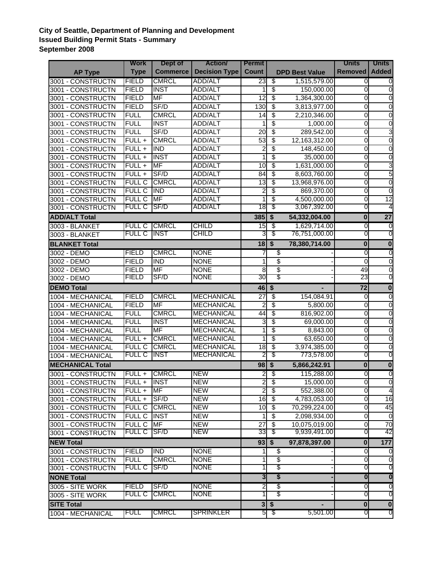## **City of Seattle, Department of Planning and Development Issued Building Permit Stats - Summary September 2008**

|                         | <b>Work</b>           | Dept of           | <b>Action</b>              | <b>Permit</b>   |                                      |                       | <b>Units</b>          | <b>Units</b>                     |
|-------------------------|-----------------------|-------------------|----------------------------|-----------------|--------------------------------------|-----------------------|-----------------------|----------------------------------|
| <b>AP Type</b>          | <b>Type</b>           | <b>Commerce</b>   | <b>Decision Type</b>       | <b>Count</b>    |                                      | <b>DPD Best Value</b> | <b>Removed</b>        | <b>Added</b>                     |
| 3001 - CONSTRUCTN       | <b>FIELD</b>          | <b>CMRCL</b>      | <b>ADD/ALT</b>             | 23              | \$                                   | 1,515,579.00          | $\mathbf 0$           | 0                                |
| 3001 - CONSTRUCTN       | <b>FIELD</b>          | <b>INST</b>       | <b>ADD/ALT</b>             |                 | \$                                   | 150,000.00            | 0                     | $\overline{0}$                   |
| 3001 - CONSTRUCTN       | <b>FIELD</b>          | <b>MF</b>         | <b>ADD/ALT</b>             | $\overline{12}$ | \$                                   | 1,364,300.00          | 0                     | $\overline{0}$                   |
| 3001 - CONSTRUCTN       | <b>FIELD</b>          | SF/D              | <b>ADD/ALT</b>             | 130             | \$                                   | 3,813,977.00          | 0                     | $\overline{0}$                   |
| 3001 - CONSTRUCTN       | <b>FULL</b>           | <b>CMRCL</b>      | <b>ADD/ALT</b>             | 14              | \$                                   | 2,210,346.00          | 0                     | $\overline{0}$                   |
| 3001 - CONSTRUCTN       | <b>FULL</b>           | <b>INST</b>       | <b>ADD/ALT</b>             |                 | \$                                   | 1,000.00              | 0                     | $\overline{0}$                   |
| 3001 - CONSTRUCTN       | <b>FULL</b>           | SF/D              | ADD/ALT                    | 20              | \$                                   | 289,542.00            | 0                     | 3                                |
| 3001 - CONSTRUCTN       | $FULL +$              | <b>CMRCL</b>      | ADD/ALT                    | 53              | \$                                   | 12,163,312.00         | 0                     | $\overline{0}$                   |
| 3001 - CONSTRUCTN       | $FULL +$              | <b>IND</b>        | <b>ADD/ALT</b>             | 2               | \$                                   | 148,450.00            | 0                     | $\mathbf 0$                      |
| 3001 - CONSTRUCTN       | $FULL +$              | <b>INST</b>       | <b>ADD/ALT</b>             |                 | \$                                   | 35,000.00             | 0                     | $\mathbf 0$                      |
| 3001 - CONSTRUCTN       | $FULL +$              | <b>MF</b>         | <b>ADD/ALT</b>             | 10              | \$                                   | 1,631,000.00          | 0                     | 3                                |
| 3001 - CONSTRUCTN       | $FULL +$              | SF/D              | ADD/ALT                    | 84              | \$                                   | 8,603,760.00          | $\mathbf 0$           | 5                                |
| 3001 - CONSTRUCTN       | <b>FULL C</b>         | <b>CMRCL</b>      | ADD/ALT                    | $\overline{13}$ | \$                                   | 13,968,976.00         | 0                     | $\overline{0}$                   |
| 3001 - CONSTRUCTN       | <b>FULL C</b>         | <b>IND</b>        | ADD/ALT                    | 2               | \$                                   | 869,370.00            | 0                     | $\overline{0}$                   |
| 3001 - CONSTRUCTN       | <b>FULL C</b>         | <b>MF</b>         | ADD/ALT                    |                 | \$                                   | 4,500,000.00          | 0                     | $\overline{12}$                  |
| 3001 - CONSTRUCTN       | <b>FULL C</b>         | SF/D              | <b>ADD/ALT</b>             | 18              | \$                                   | 3,067,392.00          | 0                     | 4                                |
| <b>ADD/ALT Total</b>    |                       |                   |                            | 385             | $\overline{\boldsymbol{\mathsf{s}}}$ | 54,332,004.00         | $\bf{0}$              | $\overline{27}$                  |
| 3003 - BLANKET          | <b>FULL C</b>         | <b>CMRCL</b>      | <b>CHILD</b>               | 15              | \$                                   | 1,629,714.00          | $\mathbf 0$           | Ō                                |
| 3003 - BLANKET          | <u>FULL C</u>         | INST              | CHILD                      | 3               | \$                                   | 76,751,000.00         | 0                     | 0                                |
| <b>BLANKET Total</b>    |                       |                   |                            | 18              |                                      |                       | $\bf{0}$              | $\overline{\mathbf{0}}$          |
|                         |                       |                   |                            |                 | $\overline{\boldsymbol{\mathsf{s}}}$ | 78,380,714.00         |                       |                                  |
| 3002 - DEMO             | <b>FIELD</b>          | <b>CMRCL</b>      | <b>NONE</b>                | 7               | \$                                   |                       | 0                     | $\overline{0}$                   |
| 3002 - DEMO             | <b>FIELD</b>          | <b>IND</b>        | <b>NONE</b>                | 1               | \$                                   |                       | 0                     | $\overline{0}$                   |
| 3002 - DEMO             | <b>FIELD</b><br>FIELD | <b>MF</b><br>SF/D | <b>NONE</b><br><b>NONE</b> | 8<br>30         | \$<br>$\overline{\$}$                |                       | $\overline{49}$<br>23 | $\overline{0}$<br>$\overline{0}$ |
| 3002 - DEMO             |                       |                   |                            |                 |                                      |                       |                       |                                  |
| <b>DEMO Total</b>       |                       |                   |                            | 46              | $\sqrt[6]{2}$                        |                       | 72                    | $\mathbf 0$                      |
| 1004 - MECHANICAL       | <b>FIELD</b>          | <b>CMRCL</b>      | <b>MECHANICAL</b>          | $\overline{27}$ | \$                                   | 154,084.91            | $\mathbf 0$           | Ō                                |
| 1004 - MECHANICAL       | <b>FIELD</b>          | <b>MF</b>         | <b>MECHANICAL</b>          | 2               | \$                                   | 5,800.00              | 0                     | $\mathbf 0$                      |
| 1004 - MECHANICAL       | <b>FULL</b>           | <b>CMRCL</b>      | <b>MECHANICAL</b>          | 44              | \$                                   | 816,902.00            | 0                     | $\mathbf 0$                      |
| 1004 - MECHANICAL       | <b>FULL</b>           | <b>INST</b>       | <b>MECHANICAL</b>          | 3               | \$                                   | 69,000.00             | 0                     | $\mathbf 0$                      |
| 1004 - MECHANICAL       | <b>FULL</b>           | <b>MF</b>         | <b>MECHANICAL</b>          |                 | \$                                   | 8,843.00              | $\mathbf 0$           | $\overline{0}$                   |
| 1004 - MECHANICAL       | $FULL +$              | <b>CMRCL</b>      | <b>MECHANICAL</b>          |                 | \$                                   | 63,650.00             | $\overline{0}$        | $\overline{0}$                   |
| 1004 - MECHANICAL       | <b>FULL C</b>         | <b>CMRCL</b>      | <b>MECHANICAL</b>          | $\overline{18}$ | \$                                   | 3,974,385.00          | 0                     | $\mathbf 0$                      |
| 1004 - MECHANICAL       | <b>FULL C</b>         | <b>INST</b>       | <b>MECHANICAL</b>          | 2               | \$                                   | 773,578.00            | 0                     | 0                                |
| <b>MECHANICAL Total</b> |                       |                   |                            | 98              | $\overline{\mathbf{s}}$              | 5,866,242.91          | $\bf{0}$              | $\overline{\mathbf{0}}$          |
| 3001 - CONSTRUCTN       | FULL +                | <b>CMRCL</b>      | <b>NEW</b>                 | 2               | \$                                   | 115,288.00            | 0                     | $\overline{0}$                   |
| 3001 - CONSTRUCTN       | FULL +                | <b>INST</b>       | <b>NEW</b>                 | $\overline{2}$  | \$                                   | 15,000.00             | $\Omega$              | $\overline{0}$                   |
| 3001 - CONSTRUCTN       | $FULL +$              | <b>MF</b>         | <b>NEW</b>                 | $\overline{a}$  | $\overline{\mathcal{E}}$             | 552,388.00            | $\mathbf 0$           | $\overline{4}$                   |
| 3001 - CONSTRUCTN       | $FULL +$              | SF/D              | <b>NEW</b>                 | 16              | $\overline{\mathcal{S}}$             | 4,783,053.00          | $\mathbf 0$           | $\overline{16}$                  |
| 3001 - CONSTRUCTN       | <b>FULL C</b>         | <b>CMRCL</b>      | <b>NEW</b>                 | 10              | $\overline{\mathcal{S}}$             | 70,299,224.00         | $\mathbf 0$           | 45                               |
| 3001 - CONSTRUCTN       | <b>FULL C</b>         | <b>INST</b>       | <b>NEW</b>                 | 1               | \$                                   | 2,098,934.00          | 0                     | $\overline{0}$                   |
| 3001 - CONSTRUCTN       | <b>FULL C</b>         | <b>MF</b>         | <b>NEW</b>                 | $\overline{27}$ | \$                                   | 10,075,019.00         | 0                     | 70                               |
| 3001 - CONSTRUCTN       | <b>FULL C</b>         | SF/D              | <b>NEW</b>                 | 33              | \$                                   | 9,939,491.00          | 0                     | 42                               |
| <b>NEW Total</b>        |                       |                   |                            |                 | $93 \, \frac{1}{5}$                  | 97,878,397.00         | $\bf{0}$              | $177$                            |
| 3001 - CONSTRUCTN       | <b>FIELD</b>          | <b>IND</b>        | <b>NONE</b>                |                 | \$                                   |                       | $\mathbf 0$           | Ō                                |
| 3001 - CONSTRUCTN       | <b>FULL</b>           | <b>CMRCL</b>      | <b>NONE</b>                | 1               | \$                                   |                       | $\mathbf 0$           | $\overline{0}$                   |
| 3001 - CONSTRUCTN       | <b>FULL C</b>         | SF/D              | <b>NONE</b>                |                 | \$                                   |                       | 0                     | ō                                |
| <b>NONE Total</b>       |                       |                   |                            |                 | \$                                   |                       | $\boldsymbol{0}$      | $\overline{\mathbf{0}}$          |
| 3005 - SITE WORK        | <b>FIELD</b>          | SF/D              | <b>NONE</b>                | 3<br>2          | \$                                   |                       | 0                     | Ō                                |
|                         | FULL C                | <b>CMRCL</b>      | <b>NONE</b>                |                 | \$                                   |                       | 0                     | 0                                |
| 3005 - SITE WORK        |                       |                   |                            |                 |                                      |                       |                       |                                  |
| <b>SITE Total</b>       |                       |                   |                            | 3 <sup>1</sup>  | $\boldsymbol{\hat{\ast}}$            |                       | $\bf{0}$              | $\mathbf{0}$                     |
| 1004 - MECHANICAL       | FULL                  | <b>CMRCL</b>      | <b>SPRINKLER</b>           | 5               | -\$                                  | 5,501.00              | O                     | 0                                |